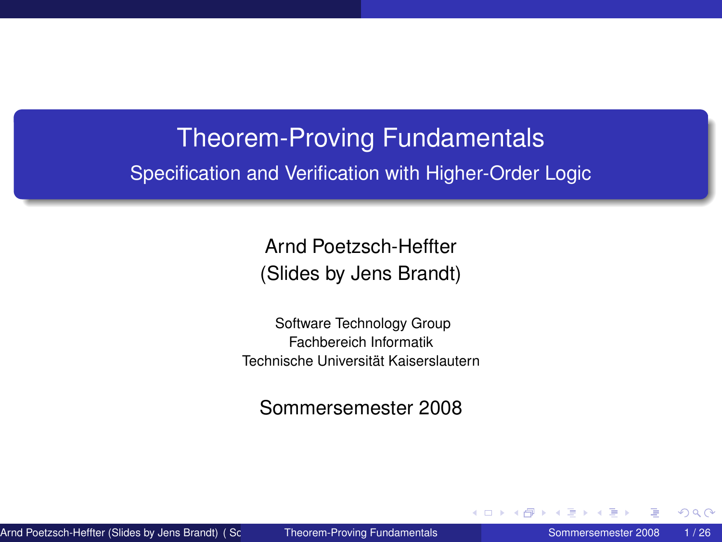# Theorem-Proving Fundamentals Specification and Verification with Higher-Order Logic

Arnd Poetzsch-Heffter (Slides by Jens Brandt)

Software Technology Group Fachbereich Informatik Technische Universität Kaiserslautern

Sommersemester 2008

Arnd Poetzsch-Heffter (Slides by Jens Brandt) ( Software T[echnology Group Fachbereich Info](#page-25-0)rmatik Technische Universität Kaiserslautern) Theorem-Proving Fundamentals Sommersemester 2008 1 / 26

<span id="page-0-0"></span>

4 0 8 4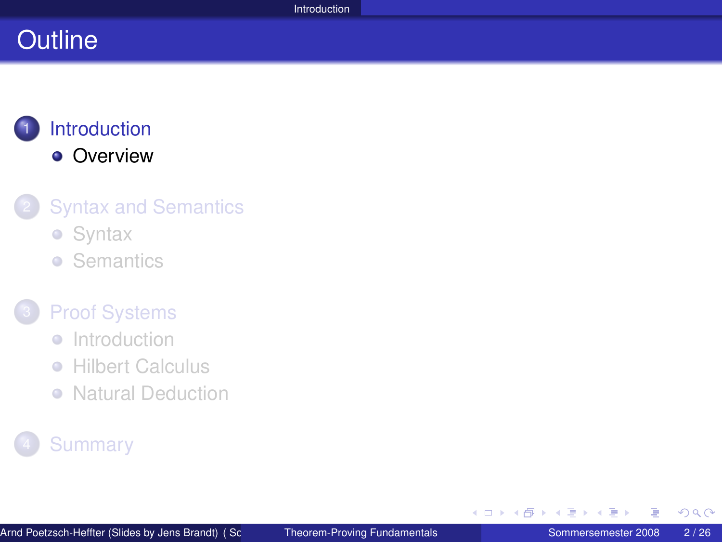## **Outline**

## **[Introduction](#page-1-0) •** [Overview](#page-2-0)

#### **[Syntax and Semantics](#page-3-0)**

- **•** [Syntax](#page-4-0)
- **•** [Semantics](#page-7-0)

#### **[Proof Systems](#page-12-0)**

- [Introduction](#page-13-0)
- **[Hilbert Calculus](#page-15-0)**  $\begin{array}{c} \bullet \\ \bullet \end{array}$
- [Natural Deduction](#page-20-0)

## **[Summary](#page-24-0)**

<span id="page-1-0"></span>∢ 重→

**∢ロ ▶ ∢ 母 ▶ ∢ ヨ ▶**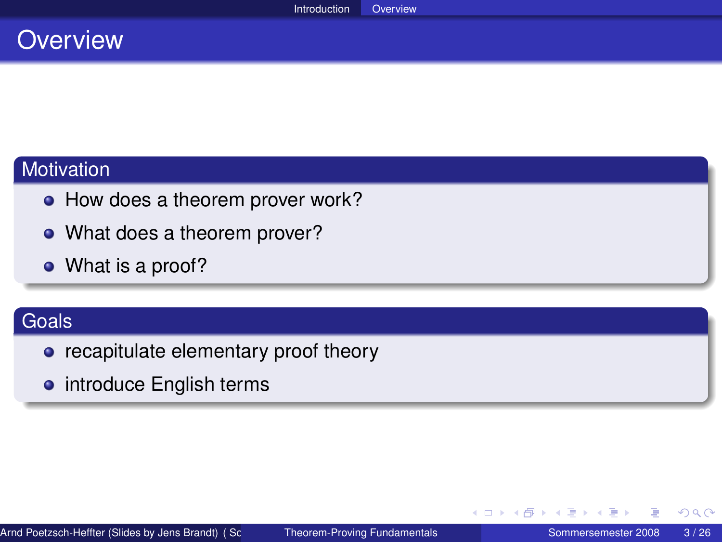## **Overview**

#### **Motivation**

- How does a theorem prover work?
- What does a theorem prover?
- What is a proof?

#### Goals

- recapitulate elementary proof theory
- **•** introduce English terms

<span id="page-2-0"></span>扂

イヨト

∢ ロ ▶ ∢ 御 ▶ ∢ ヨ ▶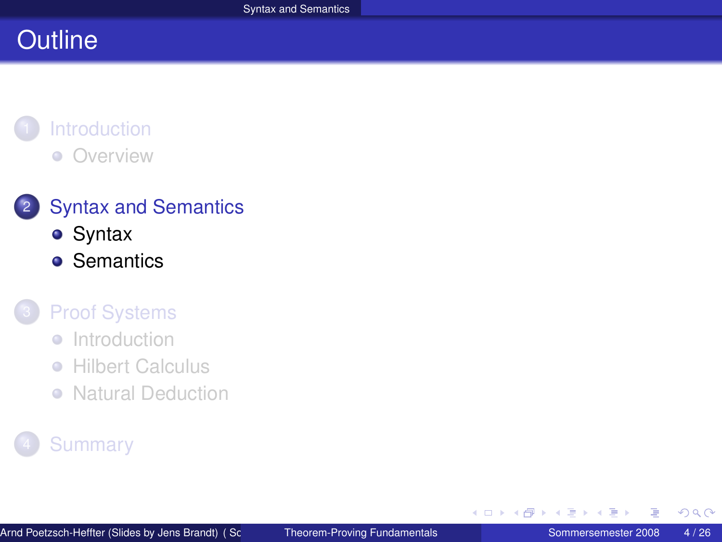# **Outline**

#### **[Introduction](#page-1-0)** [Overview](#page-2-0)  $\bullet$

## 2 [Syntax and Semantics](#page-3-0)

- **•** [Syntax](#page-4-0)
- **•** [Semantics](#page-7-0)

#### **[Proof Systems](#page-12-0)**

- [Introduction](#page-13-0)  $\begin{array}{c} \bullet \\ \bullet \end{array}$
- $\bullet$ **[Hilbert Calculus](#page-15-0)**
- [Natural Deduction](#page-20-0)

## **[Summary](#page-24-0)**

<span id="page-3-0"></span>∢ 重→

∢ ロ ▶ ∢ 御 ▶ ∢ ヨ ▶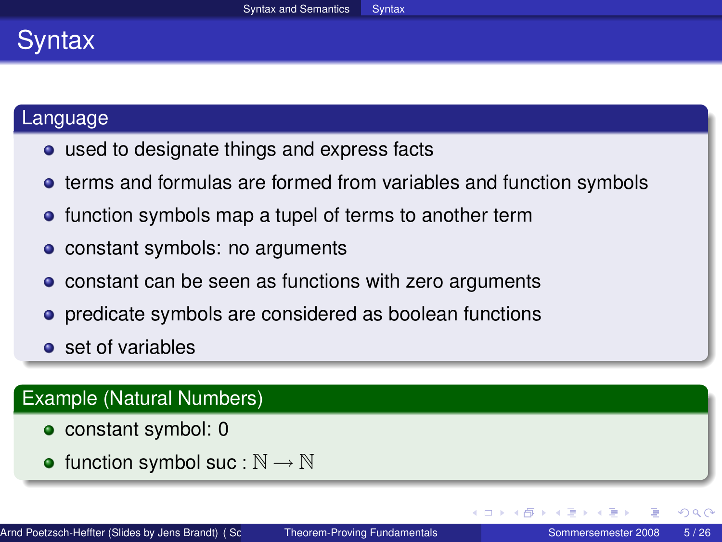## Syntax

#### Language

- used to designate things and express facts
- **•** terms and formulas are formed from variables and function symbols
- function symbols map a tupel of terms to another term
- constant symbols: no arguments
- constant can be seen as functions with zero arguments
- **•** predicate symbols are considered as boolean functions
- **o** set of variables

#### Example (Natural Numbers)

- constant symbol: 0
- function symbol suc :  $\mathbb{N} \to \mathbb{N}$

(□ ) ( ) ( ) (

<span id="page-4-0"></span>つへへ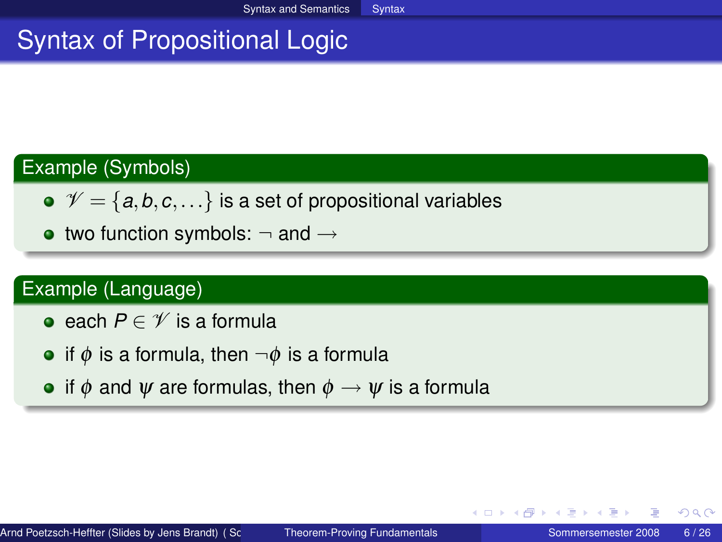# Syntax of Propositional Logic

#### Example (Symbols)

- $\mathcal{V} = \{a, b, c, \ldots\}$  is a set of propositional variables
- two function symbols:  $\neg$  and  $\rightarrow$

#### Example (Language)

- **•** each *P* ∈  $\mathscr V$  is a formula
- if  $\phi$  is a formula, then  $\neg \phi$  is a formula
- if  $\phi$  and  $\psi$  are formulas, then  $\phi \rightarrow \psi$  is a formula

イロト イ母 トイラ トイラ トーラ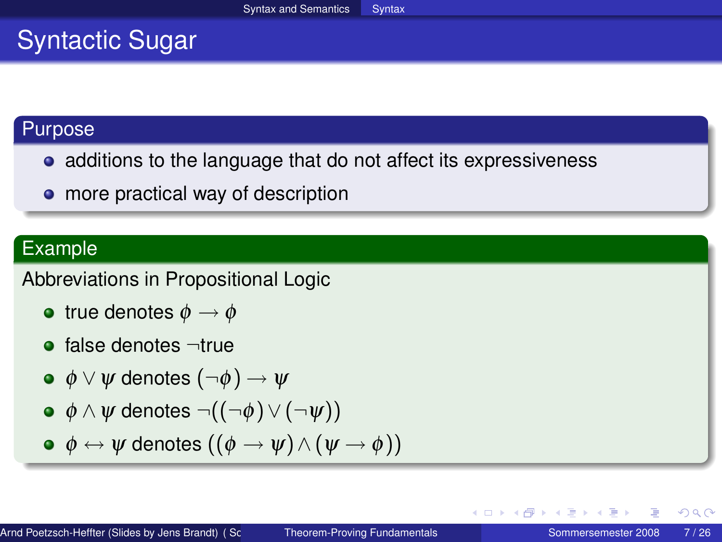# Syntactic Sugar

#### Purpose

- additions to the language that do not affect its expressiveness
- more practical way of description

#### Example

#### Abbreviations in Propositional Logic

- true denotes  $\phi \rightarrow \phi$
- $\bullet$  false denotes  $\neg$ true
- $\bullet \phi \lor \psi$  denotes  $(\neg \phi) \rightarrow \psi$

$$
\bullet \ \phi \land \psi \text{ denotes } \neg((\neg \phi) \lor (\neg \psi))
$$

$$
\bullet\ \ \phi\leftrightarrow \psi\ \text{denotes}\ \left((\phi\rightarrow \psi)\wedge (\psi\rightarrow \phi)\right)
$$

 $2Q$ 

K ロ ▶ K 御 ▶ K 唐 ▶ K 唐 ▶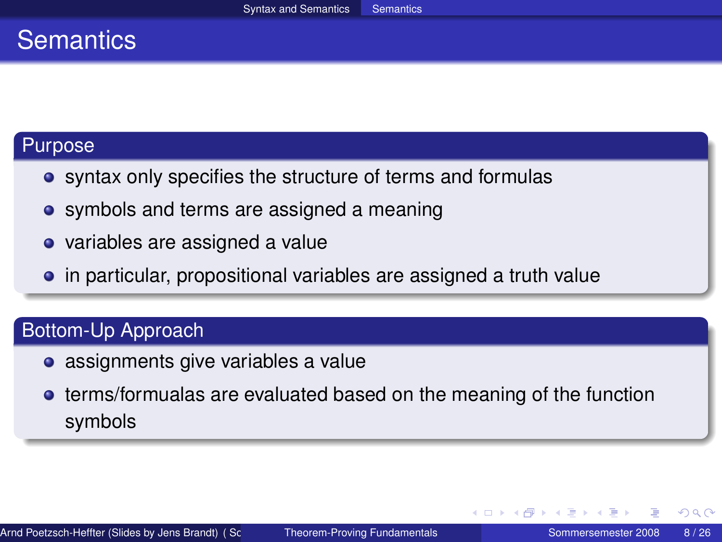## **Semantics**

#### Purpose

- syntax only specifies the structure of terms and formulas
- symbols and terms are assigned a meaning
- variables are assigned a value
- in particular, propositional variables are assigned a truth value

#### Bottom-Up Approach

- assignments give variables a value
- **•** terms/formualas are evaluated based on the meaning of the function symbols

<span id="page-7-0"></span>イロト イ母 トイヨ トイヨト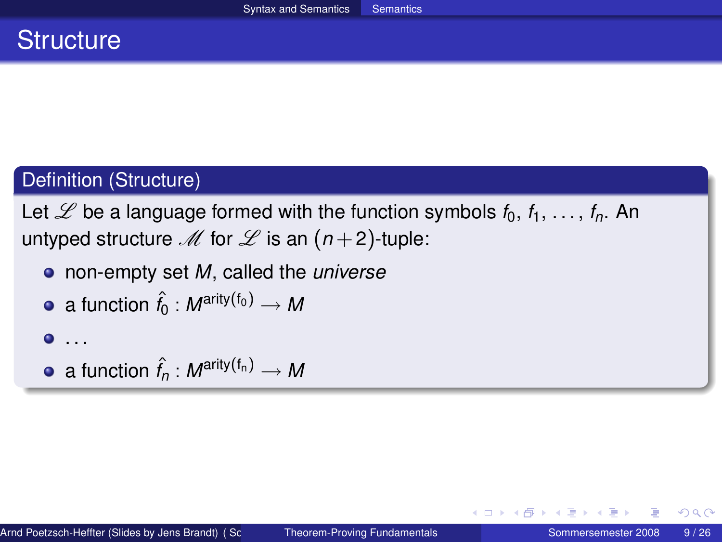## **Structure**

#### Definition (Structure)

Let  $\mathscr L$  be a language formed with the function symbols  $f_0, f_1, \ldots, f_n$ . An untyped structure  $M$  for  $L$  is an  $(n+2)$ -tuple:

non-empty set *M*, called the *universe*

• a function 
$$
\hat{f}_0 : M^{\text{arity}(f_0)} \to M
$$

$$
\bullet\ldots
$$

• a function  $\hat{f}_n : M^{\text{arity}(f_n)} \to M$ 

イロト イ母 トイヨ トイヨ ト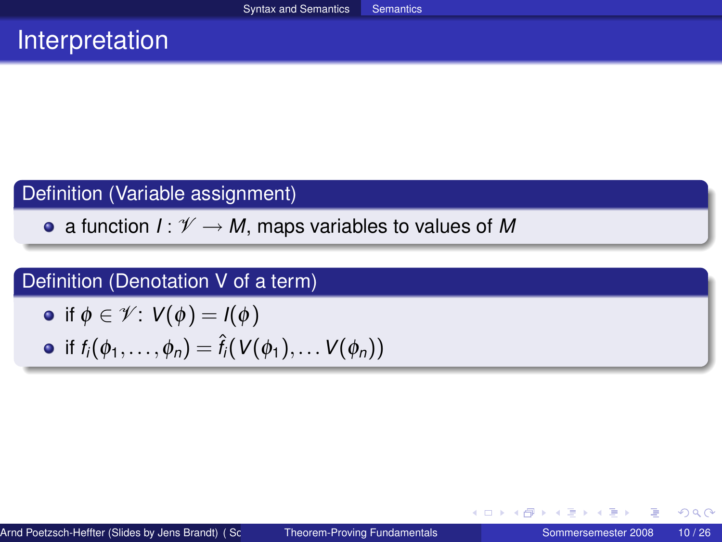## **Interpretation**

#### Definition (Variable assignment)

• a function  $I: \mathcal{V} \to M$ , maps variables to values of M

#### Definition (Denotation V of a term)

\n- if 
$$
\phi \in \mathcal{V}
$$
:  $V(\phi) = I(\phi)$
\n- if  $f_i(\phi_1, \ldots, \phi_n) = \hat{f}_i(V(\phi_1), \ldots V(\phi_n))$
\n

メロトメ 御 トメ ミトメ ミト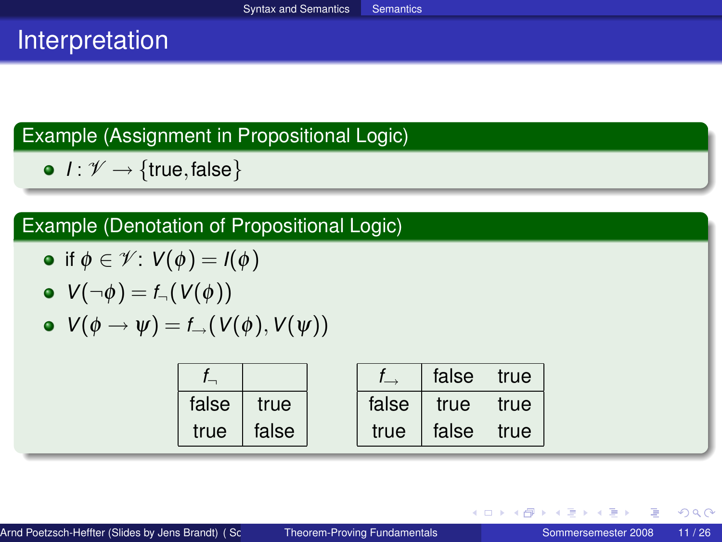## Interpretation

## Example (Assignment in Propositional Logic)

 $\bullet$  *I* :  $\mathscr{V} \rightarrow$  {true, false}

## Example (Denotation of Propositional Logic)

• if 
$$
\phi \in \mathcal{V}: V(\phi) = I(\phi)
$$

$$
\bullet \ \ V(\neg \phi) = \mathit{f}_{\neg}(\mathit{V}(\phi))
$$

$$
\bullet\ \ V(\phi\rightarrow\psi)=f_\rightarrow(V(\phi),V(\psi))
$$

|       |       |       | false | true |
|-------|-------|-------|-------|------|
| false | true  | false | true  | true |
| true  | false | true  | false | true |

メロトメ 御 トメ ミトメ ミト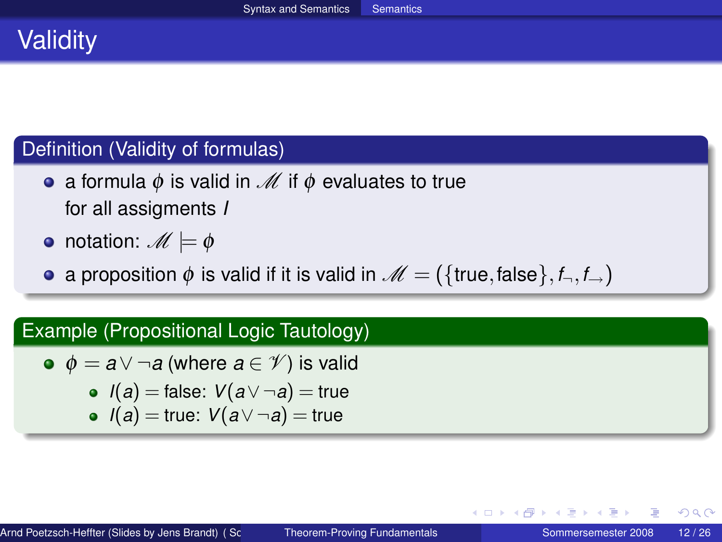# **Validity**

#### Definition (Validity of formulas)

- a formula  $\phi$  is valid in  $\mathcal M$  if  $\phi$  evaluates to true for all assigments *I*
- notation:  $M \models \phi$
- a proposition  $\phi$  is valid if it is valid in  $\mathcal{M} = (\{\text{true}, \text{false}\}, f_\neg, f_\rightarrow)$

#### Example (Propositional Logic Tautology)

\n- $$
\phi = a \vee \neg a
$$
 (where  $a \in \mathcal{V}$ ) is valid
\n- $I(a) = \text{false}$ :  $V(a \vee \neg a) = \text{true}$
\n- $I(a) = \text{true}$ :  $V(a \vee \neg a) = \text{true}$
\n

∢ ロ ▶ ∢ 御 ▶ ∢ 重 ▶ ∢ 重 ▶ …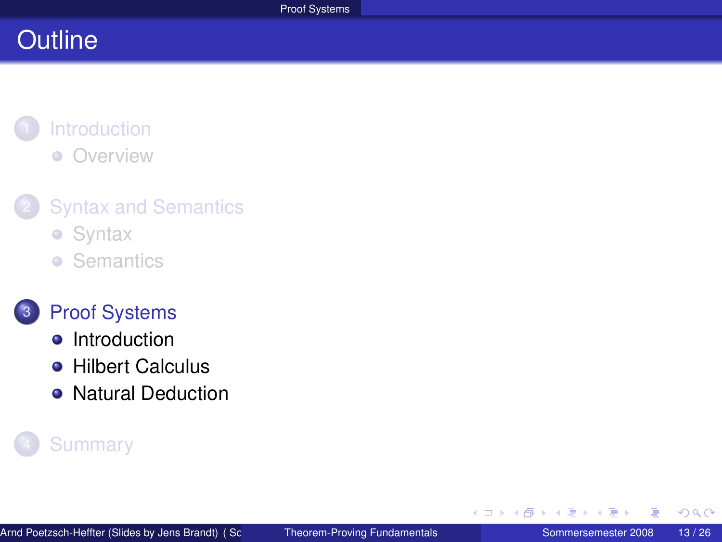# **Outline**

#### **[Introduction](#page-1-0)** [Overview](#page-2-0)  $\bullet$

## **[Syntax and Semantics](#page-3-0)**

- **•** [Syntax](#page-4-0)
- **•** [Semantics](#page-7-0)



#### 3 [Proof Systems](#page-12-0)

- [Introduction](#page-13-0)
- **[Hilbert Calculus](#page-15-0)**
- [Natural Deduction](#page-20-0)

## **[Summary](#page-24-0)**

<span id="page-12-0"></span> $\leftarrow$  $\mathcal{A}$ 有  $\mathbf{p}$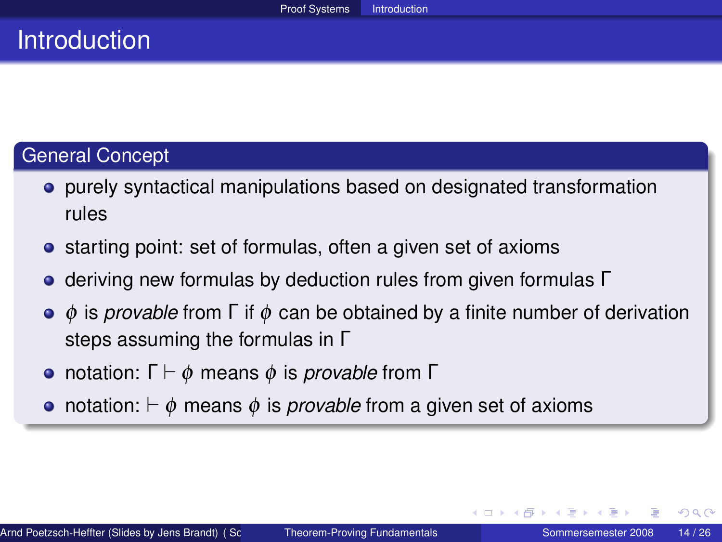## **Introduction**

#### General Concept

- purely syntactical manipulations based on designated transformation rules
- starting point: set of formulas, often a given set of axioms
- **e** deriving new formulas by deduction rules from given formulas Γ
- φ is *provable* from Γ if φ can be obtained by a finite number of derivation steps assuming the formulas in Γ
- **•** notation: Γ  $\vdash$  φ means φ is *provable* from Γ
- notation:  $\vdash \phi$  means  $\phi$  is *provable* from a given set of axioms

<span id="page-13-0"></span>つくへ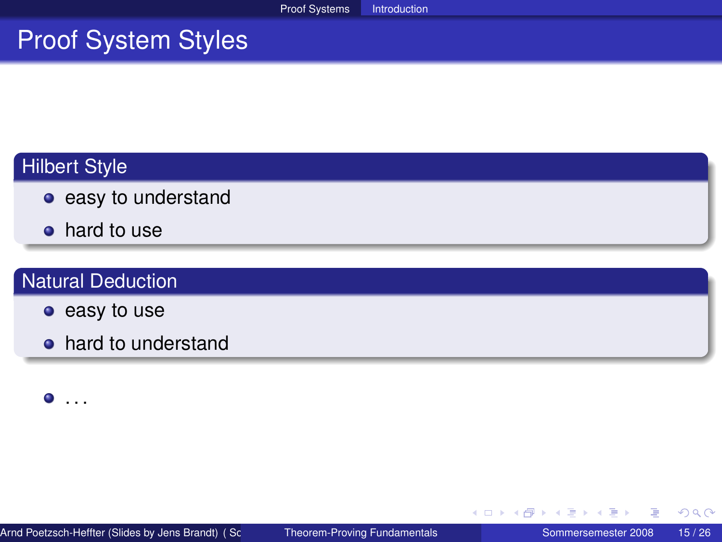## Proof System Styles

## Hilbert Style

- easy to understand
- hard to use

#### Natural Deduction

- easy to use
- hard to understand

 $\bullet$  . . .

重

 $2Q$ 

イロト (個) (注) (注)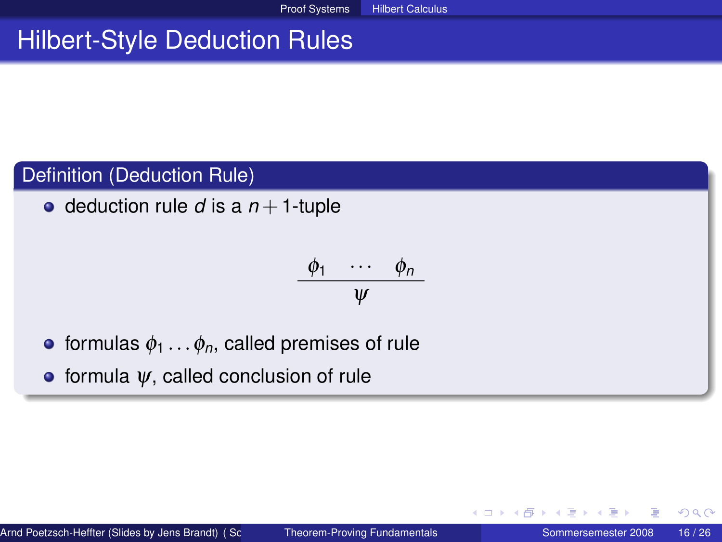# Hilbert-Style Deduction Rules

#### Definition (Deduction Rule)

• deduction rule  $d$  is a  $n+1$ -tuple

$$
\frac{\phi_1 \cdots \phi_n}{\psi}
$$

- **•** formulas  $\phi_1 \ldots \phi_n$ , called premises of rule
- $\bullet$  formula  $\psi$ , called conclusion of rule

<span id="page-15-0"></span>4 0 8 4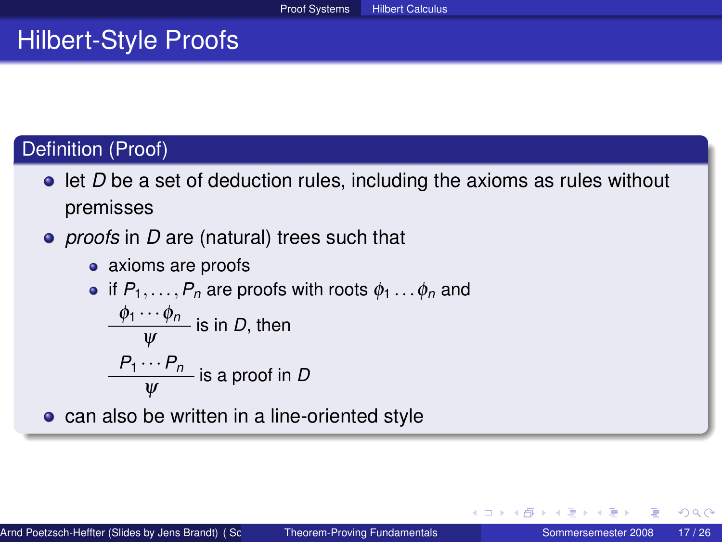## Hilbert-Style Proofs

## Definition (Proof)

- **ID be a set of deduction rules, including the axioms as rules without** premisses
- *proofs* in *D* are (natural) trees such that
	- axioms are proofs

• if 
$$
P_1, ..., P_n
$$
 are proofs with roots  $\phi_1 ... \phi_n$  and  
\n $\frac{\phi_1 \cdots \phi_n}{\psi}$  is in *D*, then

$$
\frac{P_1\cdots P_n}{\psi}
$$
 is a proof in *D*

**c** can also be written in a line-oriented style

つくへ

4 0 8 4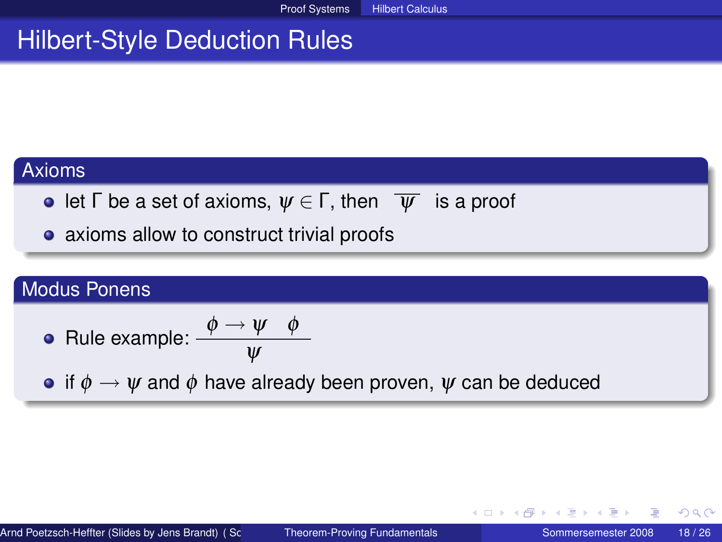# Hilbert-Style Deduction Rules

#### Axioms

- **e** let  $\Gamma$  be a set of axioms,  $\psi \in \Gamma$ , then  $\overline{\psi}$  is a proof
- axioms allow to construct trivial proofs

#### Modus Ponens

• Rule example: 
$$
\frac{\phi \rightarrow \psi \quad \phi}{\psi}
$$

• if  $\phi \rightarrow \psi$  and  $\phi$  have already been proven,  $\psi$  can be deduced

イロト イ母 トイヨ トイヨト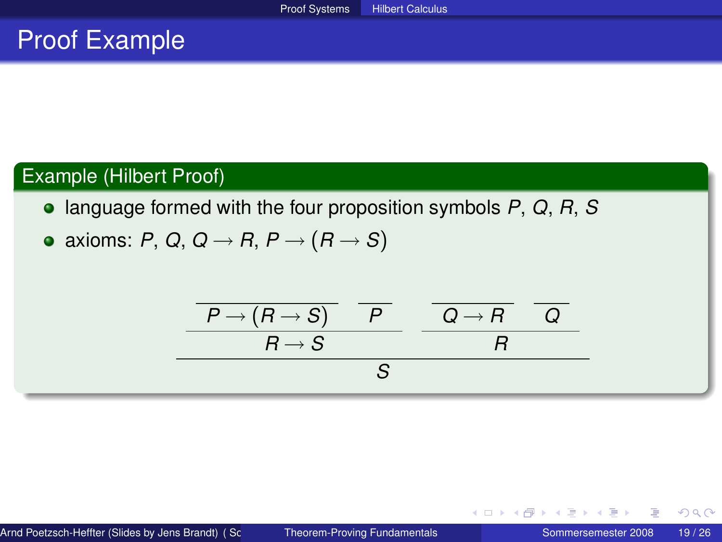## Proof Example

#### Example (Hilbert Proof)

- language formed with the four proposition symbols *P*, *Q*, *R*, *S*
- axioms: *P*, *Q*, *Q*  $\rightarrow$  *R*, *P*  $\rightarrow$  (*R*  $\rightarrow$  *S*)

$$
\begin{array}{c|c}\n\hline\n\hline\nP \rightarrow (R \rightarrow S) & P \\
\hline\nR \rightarrow S & R \\
\hline\nS\n\end{array}
$$

 $2Q$ 

イロト (個) (注) (注)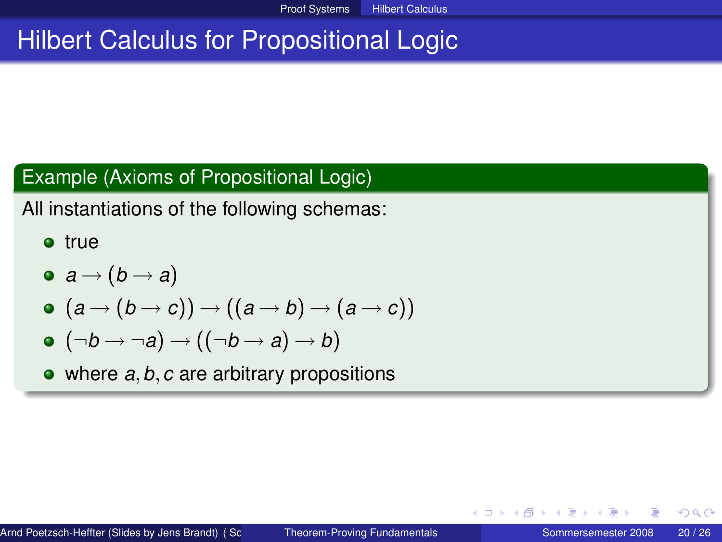# Hilbert Calculus for Propositional Logic

#### Example (Axioms of Propositional Logic)

All instantiations of the following schemas:

- **o** true
- $\bullet$   $a \rightarrow (b \rightarrow a)$
- $\bullet$   $(a \rightarrow (b \rightarrow c)) \rightarrow ((a \rightarrow b) \rightarrow (a \rightarrow c))$
- $\bullet$   $(\neg b \rightarrow \neg a) \rightarrow ((\neg b \rightarrow a) \rightarrow b)$
- where *a*,*b*,*c* are arbitrary propositions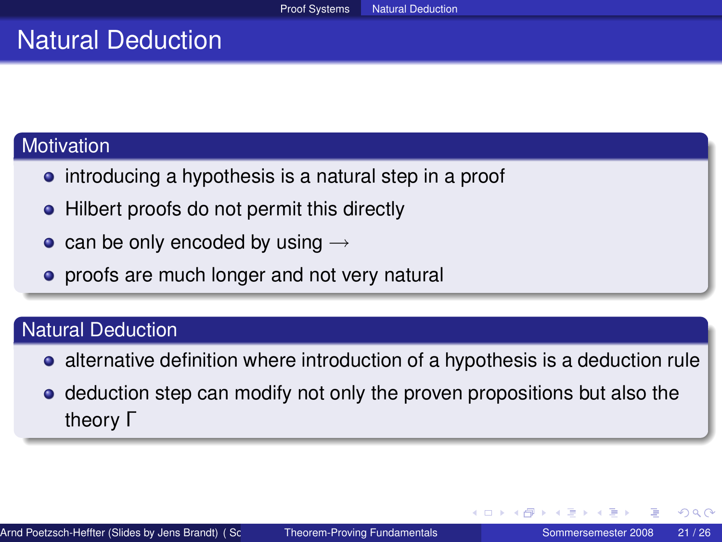## Natural Deduction

#### **Motivation**

- introducing a hypothesis is a natural step in a proof
- Hilbert proofs do not permit this directly
- can be only encoded by using  $\rightarrow$
- proofs are much longer and not very natural

#### Natural Deduction

- alternative definition where introduction of a hypothesis is a deduction rule
- <span id="page-20-0"></span>• deduction step can modify not only the proven propositions but also the theory Γ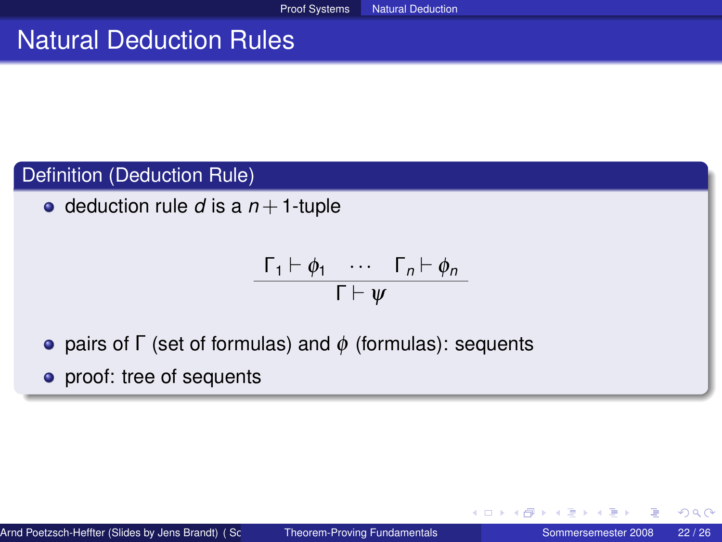## Natural Deduction Rules

#### Definition (Deduction Rule)

 $\bullet$  deduction rule *d* is a  $n+1$ -tuple

$$
\frac{\Gamma_1 \vdash \phi_1 \quad \cdots \quad \Gamma_n \vdash \phi_n}{\Gamma \vdash \psi}
$$

- pairs of Γ (set of formulas) and  $\phi$  (formulas): sequents
- proof: tree of sequents

4 0 8 4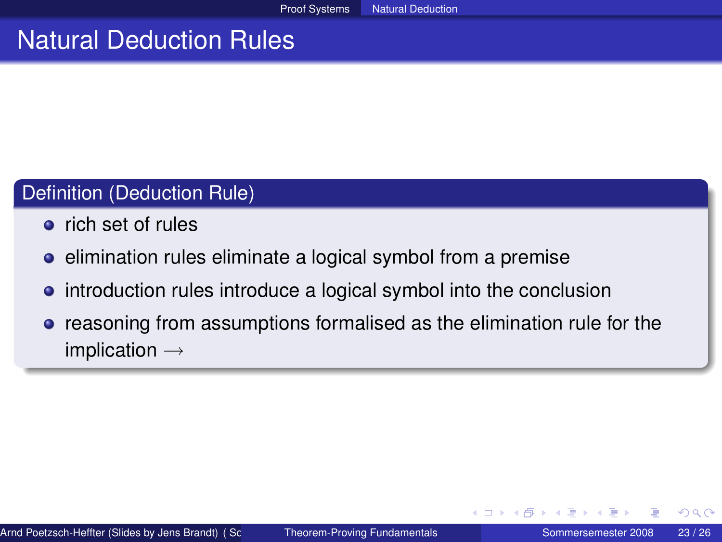## Natural Deduction Rules

#### Definition (Deduction Rule)

- **•** rich set of rules
- **e** elimination rules eliminate a logical symbol from a premise
- **•** introduction rules introduce a logical symbol into the conclusion
- **•** reasoning from assumptions formalised as the elimination rule for the implication  $\rightarrow$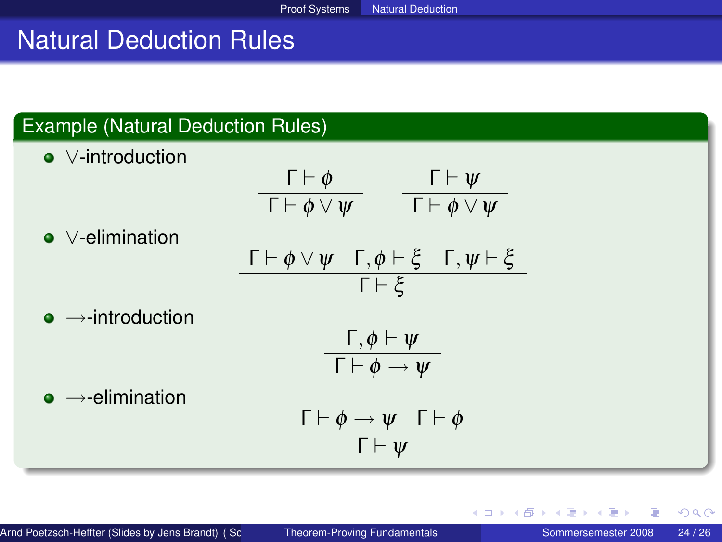# Natural Deduction Rules

## Example (Natural Deduction Rules)

| $\bullet$ V-introduction            | $\frac{\Gamma\vdash\phi}{\Gamma\vdash\phi\vee\psi}\qquad\frac{\Gamma\vdash\psi}{\Gamma\vdash\phi\vee\psi}$        |
|-------------------------------------|-------------------------------------------------------------------------------------------------------------------|
| $\bullet$ $\vee$ -elimination       |                                                                                                                   |
|                                     | $\Gamma \vdash \phi \lor \psi \quad \Gamma, \phi \vdash \xi \quad \Gamma, \psi \vdash \xi$<br>$\Gamma \vdash \xi$ |
| $\bullet \rightarrow$ -introduction |                                                                                                                   |
|                                     | $\Gamma, \phi \vdash \psi$<br>$\overline{\Gamma \vdash \phi \rightarrow \psi}$                                    |
| $\bullet \rightarrow$ -elimination  | $\Gamma \vdash \phi \rightarrow \psi \quad \Gamma \vdash \phi$                                                    |
|                                     | $\Gamma \vdash \Psi$                                                                                              |

扂

ik Bis

4 0 8 4

A + + 3 +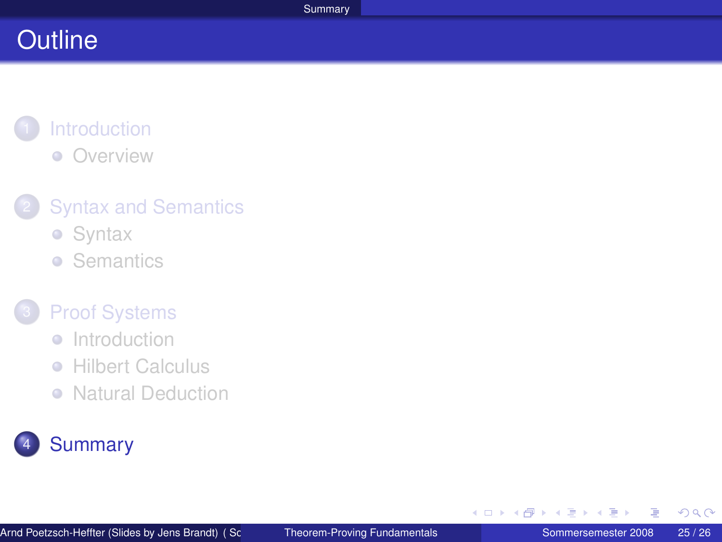# **Outline**

#### **[Introduction](#page-1-0)** • [Overview](#page-2-0)

## **[Syntax and Semantics](#page-3-0)**

- **•** [Syntax](#page-4-0)
- **•** [Semantics](#page-7-0)

#### **[Proof Systems](#page-12-0)**

- [Introduction](#page-13-0)
- **[Hilbert Calculus](#page-15-0)**  $\begin{array}{c} \bullet \\ \bullet \end{array}$
- [Natural Deduction](#page-20-0)

# **[Summary](#page-24-0)**

一 4 (語)

<span id="page-24-0"></span> $2Q$ 

**K ロ ▶ K 御 ▶ K ヨ ▶**